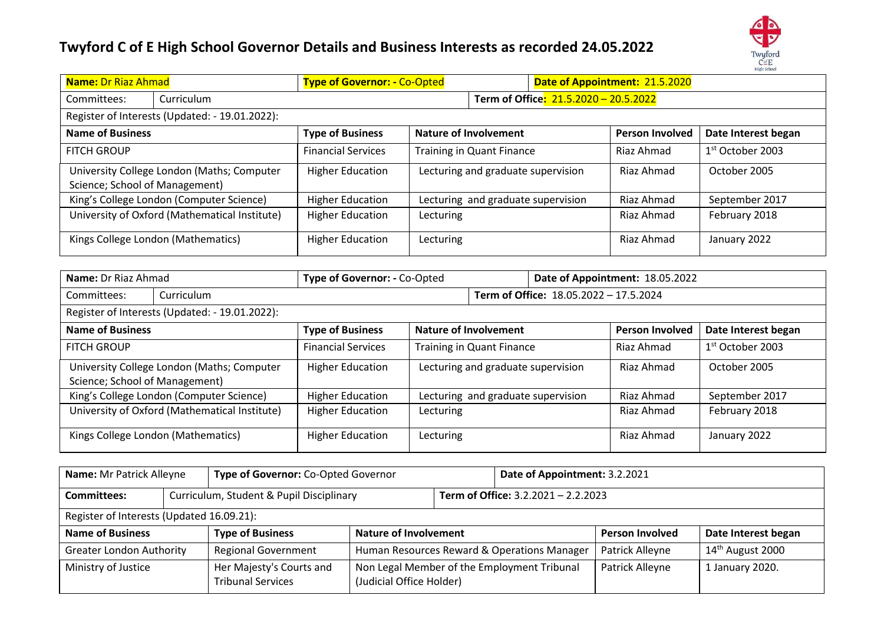

| <b>Name: Dr Riaz Ahmad</b>                                                   | <b>Type of Governor: - Co-Opted</b>   |                                    |  | Date of Appointment: 21.5.2020 |                     |  |  |
|------------------------------------------------------------------------------|---------------------------------------|------------------------------------|--|--------------------------------|---------------------|--|--|
| Curriculum<br>Committees:                                                    | Term of Office: 21.5.2020 - 20.5.2022 |                                    |  |                                |                     |  |  |
| Register of Interests (Updated: - 19.01.2022):                               |                                       |                                    |  |                                |                     |  |  |
| <b>Name of Business</b>                                                      | <b>Type of Business</b>               | <b>Nature of Involvement</b>       |  | <b>Person Involved</b>         | Date Interest began |  |  |
| <b>FITCH GROUP</b>                                                           | <b>Financial Services</b>             | Training in Quant Finance          |  | Riaz Ahmad                     | $1st$ October 2003  |  |  |
| University College London (Maths; Computer<br>Science; School of Management) | <b>Higher Education</b>               | Lecturing and graduate supervision |  | Riaz Ahmad                     | October 2005        |  |  |
| King's College London (Computer Science)                                     | <b>Higher Education</b>               | Lecturing and graduate supervision |  | Riaz Ahmad                     | September 2017      |  |  |
| University of Oxford (Mathematical Institute)                                | <b>Higher Education</b>               | Lecturing                          |  | Riaz Ahmad                     | February 2018       |  |  |
| Kings College London (Mathematics)                                           | <b>Higher Education</b>               | Lecturing                          |  | Riaz Ahmad                     | January 2022        |  |  |

| Name: Dr Riaz Ahmad                                                      |                                                | Type of Governor: - Co-Opted |           |                                    | Date of Appointment: 18.05.2022        |                        |                     |  |
|--------------------------------------------------------------------------|------------------------------------------------|------------------------------|-----------|------------------------------------|----------------------------------------|------------------------|---------------------|--|
| Committees:                                                              | Curriculum                                     |                              |           |                                    | Term of Office: 18.05.2022 - 17.5.2024 |                        |                     |  |
|                                                                          | Register of Interests (Updated: - 19.01.2022): |                              |           |                                    |                                        |                        |                     |  |
| <b>Name of Business</b>                                                  |                                                | <b>Type of Business</b>      |           | <b>Nature of Involvement</b>       |                                        | <b>Person Involved</b> | Date Interest began |  |
| <b>FITCH GROUP</b>                                                       |                                                | <b>Financial Services</b>    |           | Training in Quant Finance          |                                        | Riaz Ahmad             | $1st$ October 2003  |  |
| Science; School of Management)                                           | University College London (Maths; Computer     | <b>Higher Education</b>      |           | Lecturing and graduate supervision |                                        | Riaz Ahmad             | October 2005        |  |
|                                                                          | King's College London (Computer Science)       | <b>Higher Education</b>      |           | Lecturing and graduate supervision |                                        | Riaz Ahmad             | September 2017      |  |
| University of Oxford (Mathematical Institute)<br><b>Higher Education</b> |                                                | Lecturing                    |           |                                    | Riaz Ahmad                             | February 2018          |                     |  |
|                                                                          | Kings College London (Mathematics)             | <b>Higher Education</b>      | Lecturing |                                    |                                        | Riaz Ahmad             | January 2022        |  |

| Name: Mr Patrick Alleyne                  | Type of Governor: Co-Opted Governor                  |                              |  | Date of Appointment: 3.2.2021               |                        |                              |  |
|-------------------------------------------|------------------------------------------------------|------------------------------|--|---------------------------------------------|------------------------|------------------------------|--|
| <b>Committees:</b>                        | Curriculum, Student & Pupil Disciplinary             |                              |  | Term of Office: 3.2.2021 - 2.2.2023         |                        |                              |  |
| Register of Interests (Updated 16.09.21): |                                                      |                              |  |                                             |                        |                              |  |
| <b>Name of Business</b>                   | <b>Type of Business</b>                              | <b>Nature of Involvement</b> |  |                                             | <b>Person Involved</b> | Date Interest began          |  |
| <b>Greater London Authority</b>           | <b>Regional Government</b>                           |                              |  | Human Resources Reward & Operations Manager | Patrick Alleyne        | 14 <sup>th</sup> August 2000 |  |
| Ministry of Justice                       | Her Majesty's Courts and<br><b>Tribunal Services</b> | (Judicial Office Holder)     |  | Non Legal Member of the Employment Tribunal | Patrick Alleyne        | 1 January 2020.              |  |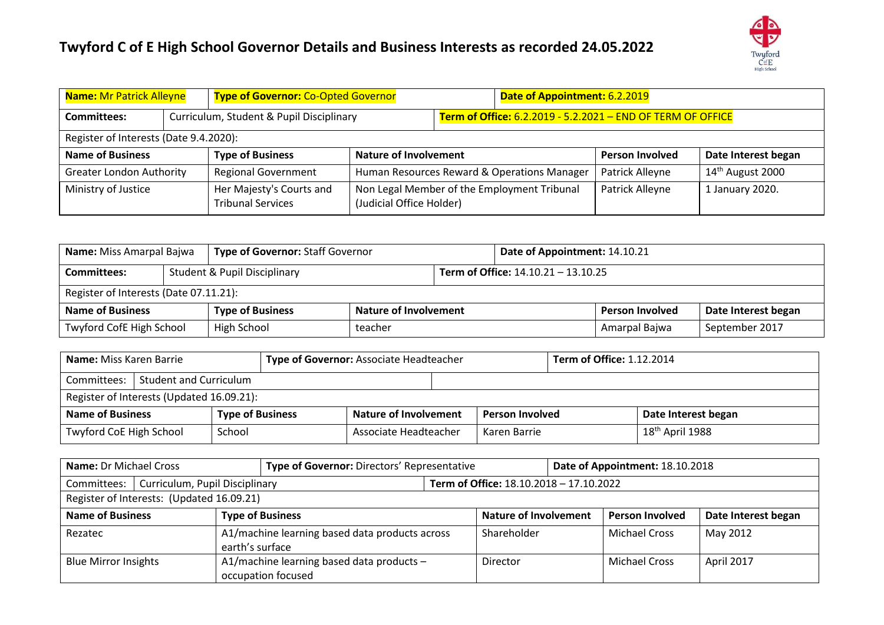

| <b>Name: Mr Patrick Alleyne</b> |                                        | <b>Type of Governor: Co-Opted Governor</b><br>Date of Appointment: 6.2.2019 |                              |  |                                                             |                        |                              |  |  |  |
|---------------------------------|----------------------------------------|-----------------------------------------------------------------------------|------------------------------|--|-------------------------------------------------------------|------------------------|------------------------------|--|--|--|
| Committees:                     |                                        | Curriculum, Student & Pupil Disciplinary                                    |                              |  | Term of Office: 6.2.2019 - 5.2.2021 - END OF TERM OF OFFICE |                        |                              |  |  |  |
|                                 | Register of Interests (Date 9.4.2020): |                                                                             |                              |  |                                                             |                        |                              |  |  |  |
| <b>Name of Business</b>         |                                        | <b>Type of Business</b>                                                     | <b>Nature of Involvement</b> |  |                                                             | <b>Person Involved</b> | Date Interest began          |  |  |  |
| <b>Greater London Authority</b> |                                        | <b>Regional Government</b>                                                  |                              |  | Human Resources Reward & Operations Manager                 | Patrick Alleyne        | 14 <sup>th</sup> August 2000 |  |  |  |
| Ministry of Justice             |                                        | Her Majesty's Courts and<br><b>Tribunal Services</b>                        | (Judicial Office Holder)     |  | Non Legal Member of the Employment Tribunal                 | Patrick Alleyne        | 1 January 2020.              |  |  |  |

| Name: Miss Amarpal Bajwa               | <b>Type of Governor: Staff Governor</b> | Date of Appointment: 14.10.21              |  |  |                        |                     |
|----------------------------------------|-----------------------------------------|--------------------------------------------|--|--|------------------------|---------------------|
| <b>Committees:</b>                     | <b>Student &amp; Pupil Disciplinary</b> | <b>Term of Office: 14.10.21 - 13.10.25</b> |  |  |                        |                     |
| Register of Interests (Date 07.11.21): |                                         |                                            |  |  |                        |                     |
| <b>Name of Business</b>                | <b>Type of Business</b>                 | <b>Nature of Involvement</b>               |  |  | <b>Person Involved</b> | Date Interest began |
| Twyford CofE High School               | High School                             | teacher                                    |  |  | Amarpal Bajwa          | September 2017      |

| Type of Governor: Associate Headteacher<br><b>Name:</b> Miss Karen Barrie          |                                           |        |  | <b>Term of Office: 1.12.2014</b> |  |                        |  |                             |  |
|------------------------------------------------------------------------------------|-------------------------------------------|--------|--|----------------------------------|--|------------------------|--|-----------------------------|--|
| <b>Student and Curriculum</b><br>Committees:                                       |                                           |        |  |                                  |  |                        |  |                             |  |
|                                                                                    | Register of Interests (Updated 16.09.21): |        |  |                                  |  |                        |  |                             |  |
| <b>Type of Business</b><br><b>Nature of Involvement</b><br><b>Name of Business</b> |                                           |        |  |                                  |  | <b>Person Involved</b> |  | Date Interest began         |  |
| <b>Twyford CoE High School</b>                                                     |                                           | School |  | Associate Headteacher            |  | Karen Barrie           |  | $18^{\text{th}}$ April 1988 |  |

| <b>Name: Dr Michael Cross</b><br>Date of Appointment: 18.10.2018<br>Type of Governor: Directors' Representative |                                           |  |                                                                 |                                                       |                                         |  |                        |                     |
|-----------------------------------------------------------------------------------------------------------------|-------------------------------------------|--|-----------------------------------------------------------------|-------------------------------------------------------|-----------------------------------------|--|------------------------|---------------------|
| Committees:                                                                                                     | Curriculum, Pupil Disciplinary            |  |                                                                 |                                                       | Term of Office: 18.10.2018 - 17.10.2022 |  |                        |                     |
|                                                                                                                 | Register of Interests: (Updated 16.09.21) |  |                                                                 |                                                       |                                         |  |                        |                     |
| <b>Name of Business</b>                                                                                         |                                           |  | <b>Type of Business</b>                                         |                                                       | <b>Nature of Involvement</b>            |  | <b>Person Involved</b> | Date Interest began |
| A1/machine learning based data products across<br>Rezatec<br>earth's surface                                    |                                           |  |                                                                 |                                                       | Shareholder                             |  | <b>Michael Cross</b>   | May 2012            |
| <b>Blue Mirror Insights</b>                                                                                     |                                           |  | A1/machine learning based data products -<br>occupation focused | <b>Michael Cross</b><br>April 2017<br><b>Director</b> |                                         |  |                        |                     |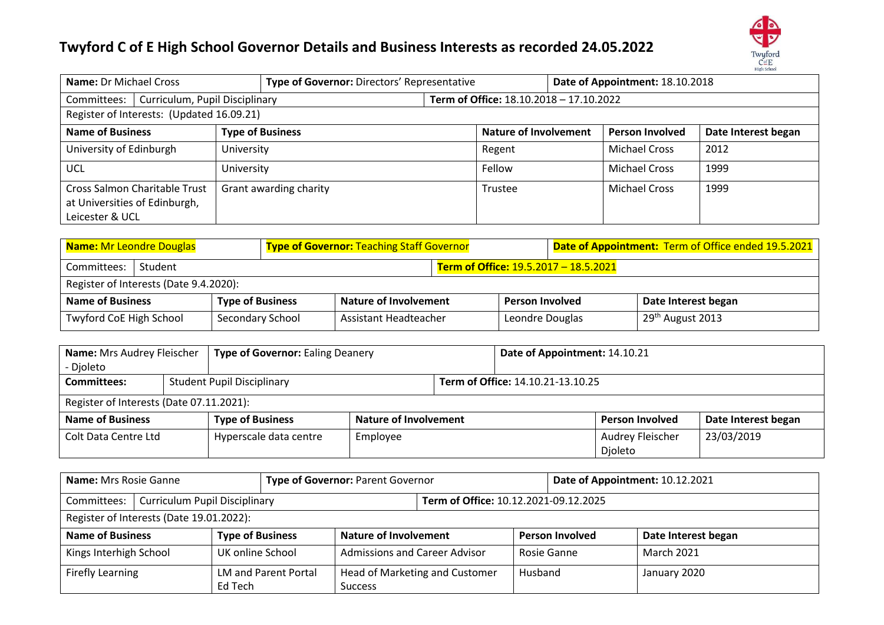

| <b>Name: Dr Michael Cross</b><br>Type of Governor: Directors' Representative             |                        |                         |  |                              |  | Date of Appointment: 18.10.2018 |                     |  |
|------------------------------------------------------------------------------------------|------------------------|-------------------------|--|------------------------------|--|---------------------------------|---------------------|--|
| Term of Office: 18.10.2018 - 17.10.2022<br>Curriculum, Pupil Disciplinary<br>Committees: |                        |                         |  |                              |  |                                 |                     |  |
| Register of Interests: (Updated 16.09.21)                                                |                        |                         |  |                              |  |                                 |                     |  |
| <b>Name of Business</b>                                                                  |                        | <b>Type of Business</b> |  | <b>Nature of Involvement</b> |  | <b>Person Involved</b>          | Date Interest began |  |
| University of Edinburgh                                                                  | University             |                         |  | Regent                       |  | <b>Michael Cross</b>            | 2012                |  |
| UCL                                                                                      | University             |                         |  | Fellow                       |  | <b>Michael Cross</b>            | 1999                |  |
| <b>Cross Salmon Charitable Trust</b><br>at Universities of Edinburgh,<br>Leicester & UCL | Grant awarding charity |                         |  |                              |  | <b>Michael Cross</b>            | 1999                |  |

| <b>Name: Mr Leondre Douglas</b>                                                    |                                                                             |  | <b>Type of Governor: Teaching Staff Governor</b> |                 |  |                              | Date of Appointment: Term of Office ended 19.5.2021 |                     |  |  |
|------------------------------------------------------------------------------------|-----------------------------------------------------------------------------|--|--------------------------------------------------|-----------------|--|------------------------------|-----------------------------------------------------|---------------------|--|--|
| Committees:<br>Student                                                             |                                                                             |  |                                                  |                 |  |                              | Term of Office: 19.5.2017 - 18.5.2021               |                     |  |  |
|                                                                                    | Register of Interests (Date 9.4.2020):                                      |  |                                                  |                 |  |                              |                                                     |                     |  |  |
| <b>Name of Business</b><br><b>Type of Business</b><br><b>Nature of Involvement</b> |                                                                             |  |                                                  |                 |  | <b>Person Involved</b>       |                                                     | Date Interest began |  |  |
|                                                                                    | <b>Twyford CoE High School</b><br>Secondary School<br>Assistant Headteacher |  |                                                  | Leondre Douglas |  | 29 <sup>th</sup> August 2013 |                                                     |                     |  |  |

| <b>Name:</b> Mrs Audrey Fleischer        | <b>Type of Governor: Ealing Deanery</b> | Date of Appointment: 14.10.21     |  |  |                             |                     |
|------------------------------------------|-----------------------------------------|-----------------------------------|--|--|-----------------------------|---------------------|
| - Djoleto                                |                                         |                                   |  |  |                             |                     |
| Committees:                              | <b>Student Pupil Disciplinary</b>       | Term of Office: 14.10.21-13.10.25 |  |  |                             |                     |
| Register of Interests (Date 07.11.2021): |                                         |                                   |  |  |                             |                     |
| <b>Name of Business</b>                  | <b>Type of Business</b>                 | Nature of Involvement             |  |  | <b>Person Involved</b>      | Date Interest began |
| Colt Data Centre Ltd                     | Hyperscale data centre                  | Employee                          |  |  | Audrey Fleischer<br>Djoleto | 23/03/2019          |

| Type of Governor: Parent Governor<br><b>Name:</b> Mrs Rosie Ganne |                                          |                         |                             |                                      |                                       |         | Date of Appointment: 10.12.2021 |                     |  |  |
|-------------------------------------------------------------------|------------------------------------------|-------------------------|-----------------------------|--------------------------------------|---------------------------------------|---------|---------------------------------|---------------------|--|--|
| <b>Curriculum Pupil Disciplinary</b><br>Committees:               |                                          |                         |                             |                                      | Term of Office: 10.12.2021-09.12.2025 |         |                                 |                     |  |  |
|                                                                   | Register of Interests (Date 19.01.2022): |                         |                             |                                      |                                       |         |                                 |                     |  |  |
| <b>Name of Business</b>                                           |                                          | <b>Type of Business</b> |                             | <b>Nature of Involvement</b>         |                                       |         | <b>Person Involved</b>          | Date Interest began |  |  |
| Kings Interhigh School                                            |                                          | UK online School        |                             | <b>Admissions and Career Advisor</b> |                                       |         | Rosie Ganne                     | <b>March 2021</b>   |  |  |
| Firefly Learning                                                  |                                          |                         | <b>LM and Parent Portal</b> |                                      | Head of Marketing and Customer        | Husband |                                 | January 2020        |  |  |
|                                                                   |                                          | Ed Tech                 | <b>Success</b>              |                                      |                                       |         |                                 |                     |  |  |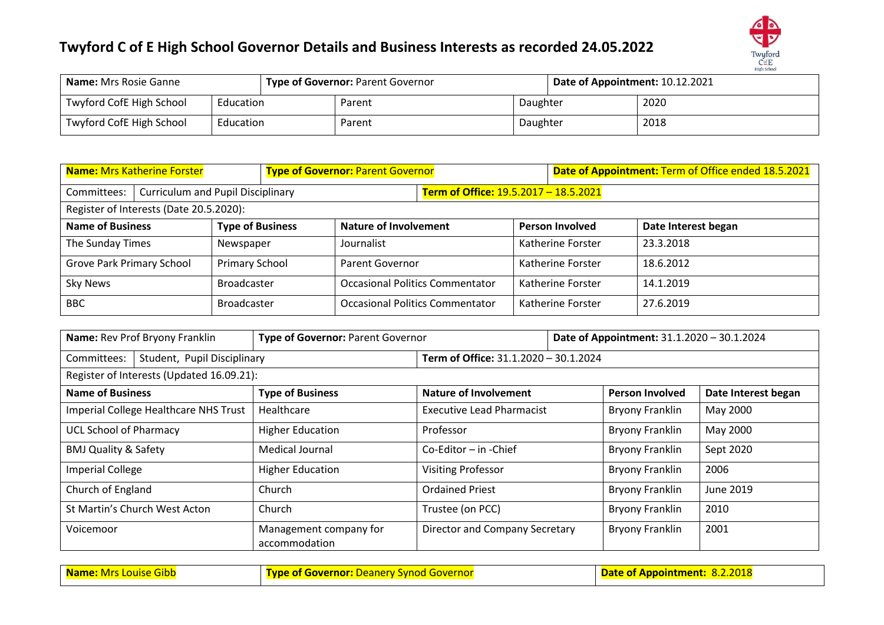# Ð  $\overbrace{\underset{\text{High School}}{\text{Cof E}}}^{\text{Twuford}}$

| <b>Name:</b> Mrs Rosie Ganne          |  | <b>Type of Governor: Parent Governor</b> |          |  | Date of Appointment: 10.12.2021 |      |  |
|---------------------------------------|--|------------------------------------------|----------|--|---------------------------------|------|--|
| Twyford CofE High School<br>Education |  |                                          | Parent   |  | Daughter                        | 2020 |  |
| Twyford CofE High School<br>Education |  | Parent                                   | Daughter |  | 2018                            |      |  |

| <b>Name: Mrs Katherine Forster</b>      |                                          |                         |  | <b>Type of Governor: Parent Governor</b> |                                                             |                                       | Date of Appointment: Term of Office ended 18.5.2021 |                     |  |
|-----------------------------------------|------------------------------------------|-------------------------|--|------------------------------------------|-------------------------------------------------------------|---------------------------------------|-----------------------------------------------------|---------------------|--|
| Committees:                             | <b>Curriculum and Pupil Disciplinary</b> |                         |  |                                          |                                                             | Term of Office: 19.5.2017 - 18.5.2021 |                                                     |                     |  |
| Register of Interests (Date 20.5.2020): |                                          |                         |  |                                          |                                                             |                                       |                                                     |                     |  |
| <b>Name of Business</b>                 |                                          | <b>Type of Business</b> |  | <b>Nature of Involvement</b>             |                                                             |                                       | <b>Person Involved</b>                              | Date Interest began |  |
| The Sunday Times                        |                                          | Newspaper               |  | Journalist                               |                                                             |                                       | Katherine Forster                                   | 23.3.2018           |  |
| Grove Park Primary School               |                                          | Primary School          |  | Parent Governor                          |                                                             |                                       | Katherine Forster                                   | 18.6.2012           |  |
| <b>Sky News</b>                         |                                          | <b>Broadcaster</b>      |  |                                          | <b>Occasional Politics Commentator</b><br>Katherine Forster |                                       |                                                     | 14.1.2019           |  |
| <b>BBC</b>                              | <b>Broadcaster</b>                       |                         |  | <b>Occasional Politics Commentator</b>   |                                                             | Katherine Forster                     | 27.6.2019                                           |                     |  |

| Name: Rev Prof Bryony Franklin             | Type of Governor: Parent Governor       |                                       |  | Date of Appointment: 31.1.2020 - 30.1.2024 |                     |  |  |  |
|--------------------------------------------|-----------------------------------------|---------------------------------------|--|--------------------------------------------|---------------------|--|--|--|
| Student, Pupil Disciplinary<br>Committees: | Term of Office: 31.1.2020 - 30.1.2024   |                                       |  |                                            |                     |  |  |  |
| Register of Interests (Updated 16.09.21):  |                                         |                                       |  |                                            |                     |  |  |  |
| <b>Name of Business</b>                    | <b>Type of Business</b>                 | <b>Nature of Involvement</b>          |  | <b>Person Involved</b>                     | Date Interest began |  |  |  |
| Imperial College Healthcare NHS Trust      | Healthcare                              | <b>Executive Lead Pharmacist</b>      |  | <b>Bryony Franklin</b>                     | May 2000            |  |  |  |
| <b>UCL School of Pharmacy</b>              | <b>Higher Education</b>                 | Professor                             |  | <b>Bryony Franklin</b>                     | May 2000            |  |  |  |
| <b>BMJ Quality &amp; Safety</b>            | Medical Journal                         | $Co$ -Editor – in -Chief              |  | <b>Bryony Franklin</b>                     | Sept 2020           |  |  |  |
| <b>Imperial College</b>                    | <b>Higher Education</b>                 | <b>Visiting Professor</b>             |  | <b>Bryony Franklin</b>                     | 2006                |  |  |  |
| Church of England                          | Church                                  | <b>Ordained Priest</b>                |  | <b>Bryony Franklin</b>                     | June 2019           |  |  |  |
| St Martin's Church West Acton              | Church<br>Trustee (on PCC)              |                                       |  | <b>Bryony Franklin</b>                     | 2010                |  |  |  |
| Voicemoor                                  | Management company for<br>accommodation | <b>Director and Company Secretary</b> |  | Bryony Franklin                            | 2001                |  |  |  |

| Name: Mrs Louise Gibb | <b>Type of Governor:</b> Deanery Synod Governor | <b>Date of Appointment: 8.2.2018</b> |  |
|-----------------------|-------------------------------------------------|--------------------------------------|--|
|                       |                                                 |                                      |  |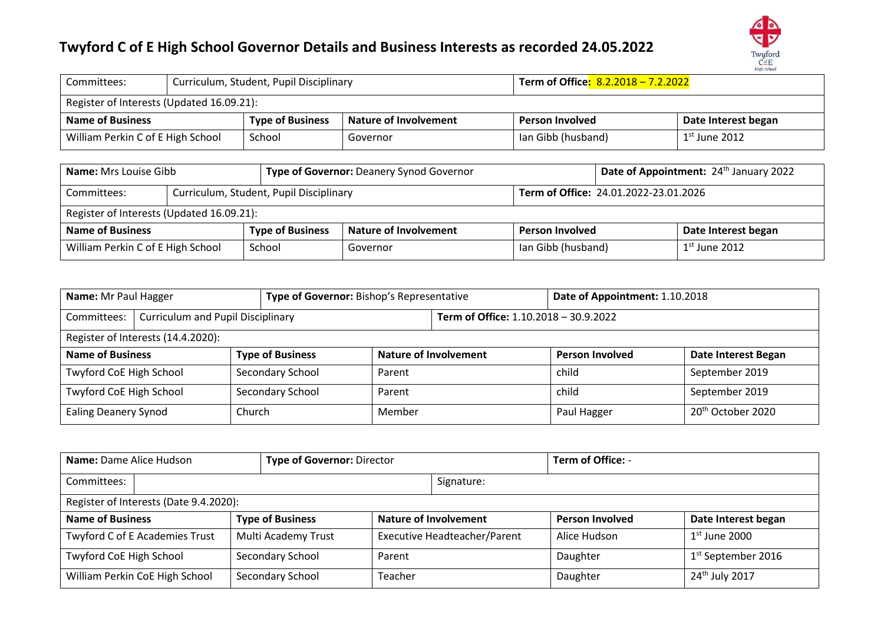

| Committees:                                 |  | Curriculum, Student, Pupil Disciplinary |                              | Term of Office <mark>: 8.2.2018 - 7.2.2022</mark> |                     |  |  |  |  |
|---------------------------------------------|--|-----------------------------------------|------------------------------|---------------------------------------------------|---------------------|--|--|--|--|
| Register of Interests (Updated 16.09.21):   |  |                                         |                              |                                                   |                     |  |  |  |  |
| <b>Name of Business</b>                     |  | <b>Type of Business</b>                 | <b>Nature of Involvement</b> | <b>Person Involved</b>                            | Date Interest began |  |  |  |  |
| William Perkin C of E High School<br>School |  |                                         | Governor                     | lan Gibb (husband)                                | $1st$ June 2012     |  |  |  |  |

| <b>Name:</b> Mrs Louise Gibb                           |  |                         | Type of Governor: Deanery Synod Governor |                        |                                       | Date of Appointment: 24th January 2022 |  |  |  |
|--------------------------------------------------------|--|-------------------------|------------------------------------------|------------------------|---------------------------------------|----------------------------------------|--|--|--|
| Curriculum, Student, Pupil Disciplinary<br>Committees: |  |                         |                                          |                        | Term of Office: 24.01.2022-23.01.2026 |                                        |  |  |  |
| Register of Interests (Updated 16.09.21):              |  |                         |                                          |                        |                                       |                                        |  |  |  |
| <b>Name of Business</b>                                |  | <b>Type of Business</b> | <b>Nature of Involvement</b>             | <b>Person Involved</b> |                                       | Date Interest began                    |  |  |  |
| William Perkin C of E High School                      |  | School                  | lan Gibb (husband)<br>Governor           |                        |                                       | $1st$ June 2012                        |  |  |  |

| Name: Mr Paul Hagger           |                                                 |  | Type of Governor: Bishop's Representative |                                       |                               | Date of Appointment: 1.10.2018 |                |  |  |
|--------------------------------|-------------------------------------------------|--|-------------------------------------------|---------------------------------------|-------------------------------|--------------------------------|----------------|--|--|
| Committees:                    | <b>Curriculum and Pupil Disciplinary</b>        |  |                                           | Term of Office: 1.10.2018 - 30.9.2022 |                               |                                |                |  |  |
|                                | Register of Interests (14.4.2020):              |  |                                           |                                       |                               |                                |                |  |  |
| <b>Name of Business</b>        | <b>Type of Business</b>                         |  | <b>Nature of Involvement</b>              | <b>Person Involved</b>                | Date Interest Began           |                                |                |  |  |
| <b>Twyford CoE High School</b> |                                                 |  | Secondary School                          | Parent                                |                               | child                          | September 2019 |  |  |
| <b>Twyford CoE High School</b> |                                                 |  | Secondary School                          | Parent                                |                               | child                          | September 2019 |  |  |
|                                | Church<br>Member<br><b>Ealing Deanery Synod</b> |  |                                           | Paul Hagger                           | 20 <sup>th</sup> October 2020 |                                |                |  |  |

| Name: Dame Alice Hudson                |                                                               |  | Type of Governor: Director   |  |                                     | Term of Office: -          |                      |  |
|----------------------------------------|---------------------------------------------------------------|--|------------------------------|--|-------------------------------------|----------------------------|----------------------|--|
| Committees:                            |                                                               |  |                              |  |                                     | Signature:                 |                      |  |
| Register of Interests (Date 9.4.2020): |                                                               |  |                              |  |                                     |                            |                      |  |
| <b>Name of Business</b>                | <b>Type of Business</b>                                       |  | <b>Nature of Involvement</b> |  | <b>Person Involved</b>              | Date Interest began        |                      |  |
| Twyford C of E Academies Trust         |                                                               |  | Multi Academy Trust          |  | <b>Executive Headteacher/Parent</b> | Alice Hudson               | $1st$ June 2000      |  |
| Twyford CoE High School                |                                                               |  | Secondary School<br>Parent   |  |                                     | Daughter                   | $1st$ September 2016 |  |
|                                        | William Perkin CoE High School<br>Secondary School<br>Teacher |  |                              |  | Daughter                            | 24 <sup>th</sup> July 2017 |                      |  |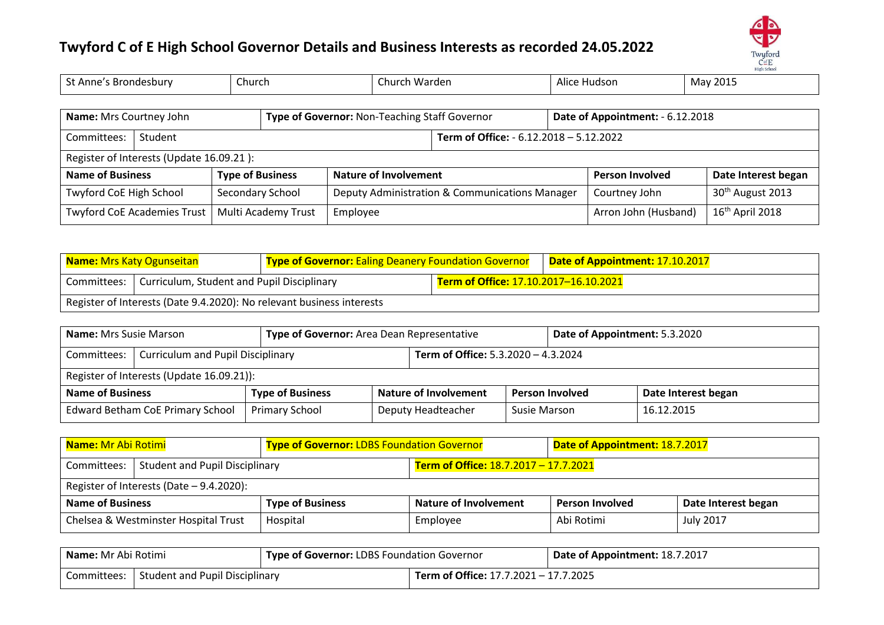

| St Anne's Brondesbury<br>Church                           |                                          |                         | Church Warden                                  |                                                                                   | Alice Hudson                            |                      | May 2015                     |                     |  |
|-----------------------------------------------------------|------------------------------------------|-------------------------|------------------------------------------------|-----------------------------------------------------------------------------------|-----------------------------------------|----------------------|------------------------------|---------------------|--|
|                                                           |                                          |                         |                                                |                                                                                   |                                         |                      |                              |                     |  |
| Name: Mrs Courtney John                                   |                                          |                         |                                                | Type of Governor: Non-Teaching Staff Governor<br>Date of Appointment: - 6.12.2018 |                                         |                      |                              |                     |  |
| Student<br>Committees:                                    |                                          |                         |                                                |                                                                                   | Term of Office: - 6.12.2018 - 5.12.2022 |                      |                              |                     |  |
|                                                           | Register of Interests (Update 16.09.21): |                         |                                                |                                                                                   |                                         |                      |                              |                     |  |
| <b>Name of Business</b>                                   |                                          | <b>Type of Business</b> |                                                | <b>Nature of Involvement</b>                                                      |                                         |                      | <b>Person Involved</b>       | Date Interest began |  |
| Twyford CoE High School<br>Secondary School               |                                          |                         | Deputy Administration & Communications Manager |                                                                                   |                                         | Courtney John        | 30 <sup>th</sup> August 2013 |                     |  |
| Multi Academy Trust<br><b>Twyford CoE Academies Trust</b> |                                          |                         | Employee                                       |                                                                                   |                                         | Arron John (Husband) | 16 <sup>th</sup> April 2018  |                     |  |

| <b>Name: Mrs Katy Ogunseitan</b>                          |  | <b>Type of Governor: Ealing Deanery Foundation Governor</b>           |  | Date of Appointment: 17.10.2017 |  |
|-----------------------------------------------------------|--|-----------------------------------------------------------------------|--|---------------------------------|--|
| Curriculum, Student and Pupil Disciplinary<br>Committees: |  | Term of Office: 17.10.2017-16.10.2021                                 |  |                                 |  |
|                                                           |  | Register of Interests (Date 9.4.2020): No relevant business interests |  |                                 |  |

| <b>Name:</b> Mrs Susie Marson                      | Type of Governor: Area Dean Representative |                       | Date of Appointment: 5.3.2020 |                                     |              |                        |                     |  |  |
|----------------------------------------------------|--------------------------------------------|-----------------------|-------------------------------|-------------------------------------|--------------|------------------------|---------------------|--|--|
| Committees:                                        | <b>Curriculum and Pupil Disciplinary</b>   |                       |                               | Term of Office: 5.3.2020 - 4.3.2024 |              |                        |                     |  |  |
|                                                    | Register of Interests (Update 16.09.21)):  |                       |                               |                                     |              |                        |                     |  |  |
| <b>Type of Business</b><br><b>Name of Business</b> |                                            |                       |                               | <b>Nature of Involvement</b>        |              | <b>Person Involved</b> | Date Interest began |  |  |
| <b>Edward Betham CoE Primary School</b>            |                                            | <b>Primary School</b> |                               | Deputy Headteacher                  | Susie Marson |                        | 16.12.2015          |  |  |

| Name: Mr Abi Rotimi                        |                                       | <b>Type of Governor: LDBS Foundation Governor</b> |                                       | Date of Appointment: 18.7.2017 |                     |  |  |  |
|--------------------------------------------|---------------------------------------|---------------------------------------------------|---------------------------------------|--------------------------------|---------------------|--|--|--|
| Committees:                                | <b>Student and Pupil Disciplinary</b> |                                                   | Term of Office: 18.7.2017 - 17.7.2021 |                                |                     |  |  |  |
| Register of Interests (Date $-$ 9.4.2020): |                                       |                                                   |                                       |                                |                     |  |  |  |
| <b>Name of Business</b>                    |                                       | <b>Type of Business</b>                           | Nature of Involvement                 | <b>Person Involved</b>         | Date Interest began |  |  |  |
| Chelsea & Westminster Hospital Trust       |                                       | Hospital                                          | Employee                              | Abi Rotimi                     | <b>July 2017</b>    |  |  |  |

| l <b>Name:</b> Mr Abi Rotimi |                                | <b>Type of Governor: LDBS Foundation Governor</b> |                                              | Date of Appointment: 18.7.2017 |  |
|------------------------------|--------------------------------|---------------------------------------------------|----------------------------------------------|--------------------------------|--|
| Committees: 1                | Student and Pupil Disciplinary |                                                   | <b>Term of Office: 17.7.2021 - 17.7.2025</b> |                                |  |